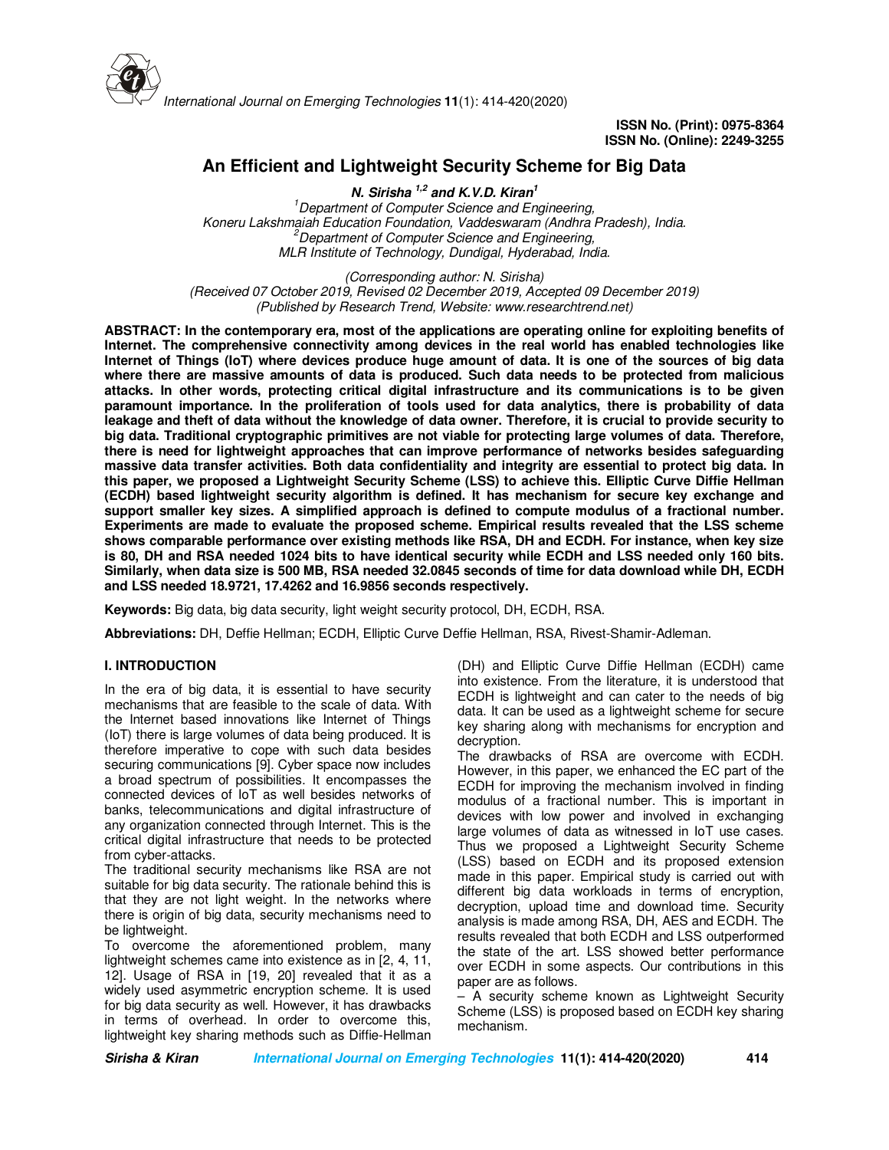

# **An Efficient and Lightweight Security Scheme for Big Data**

**N. Sirisha 1,2 and K.V.D. Kiran<sup>1</sup>** *<sup>1</sup>Department of Computer Science and Engineering, Koneru Lakshmaiah Education Foundation, Vaddeswaram (Andhra Pradesh), India. <sup>2</sup>Department of Computer Science and Engineering, MLR Institute of Technology, Dundigal, Hyderabad, India.* 

*(Corresponding author: N. Sirisha) (Received 07 October 2019, Revised 02 December 2019, Accepted 09 December 2019) (Published by Research Trend, Website: www.researchtrend.net)* 

**ABSTRACT: In the contemporary era, most of the applications are operating online for exploiting benefits of Internet. The comprehensive connectivity among devices in the real world has enabled technologies like Internet of Things (IoT) where devices produce huge amount of data. It is one of the sources of big data where there are massive amounts of data is produced. Such data needs to be protected from malicious attacks. In other words, protecting critical digital infrastructure and its communications is to be given paramount importance. In the proliferation of tools used for data analytics, there is probability of data leakage and theft of data without the knowledge of data owner. Therefore, it is crucial to provide security to big data. Traditional cryptographic primitives are not viable for protecting large volumes of data. Therefore, there is need for lightweight approaches that can improve performance of networks besides safeguarding massive data transfer activities. Both data confidentiality and integrity are essential to protect big data. In this paper, we proposed a Lightweight Security Scheme (LSS) to achieve this. Elliptic Curve Diffie Hellman (ECDH) based lightweight security algorithm is defined. It has mechanism for secure key exchange and support smaller key sizes. A simplified approach is defined to compute modulus of a fractional number. Experiments are made to evaluate the proposed scheme. Empirical results revealed that the LSS scheme shows comparable performance over existing methods like RSA, DH and ECDH. For instance, when key size is 80, DH and RSA needed 1024 bits to have identical security while ECDH and LSS needed only 160 bits. Similarly, when data size is 500 MB, RSA needed 32.0845 seconds of time for data download while DH, ECDH and LSS needed 18.9721, 17.4262 and 16.9856 seconds respectively.** 

**Keywords:** Big data, big data security, light weight security protocol, DH, ECDH, RSA.

**Abbreviations:** DH, Deffie Hellman; ECDH, Elliptic Curve Deffie Hellman, RSA, Rivest-Shamir-Adleman.

# **I. INTRODUCTION**

In the era of big data, it is essential to have security mechanisms that are feasible to the scale of data. With the Internet based innovations like Internet of Things (IoT) there is large volumes of data being produced. It is therefore imperative to cope with such data besides securing communications [9]. Cyber space now includes a broad spectrum of possibilities. It encompasses the connected devices of IoT as well besides networks of banks, telecommunications and digital infrastructure of any organization connected through Internet. This is the critical digital infrastructure that needs to be protected from cyber-attacks.

The traditional security mechanisms like RSA are not suitable for big data security. The rationale behind this is that they are not light weight. In the networks where there is origin of big data, security mechanisms need to be lightweight.

To overcome the aforementioned problem, many lightweight schemes came into existence as in [2, 4, 11, 12]. Usage of RSA in [19, 20] revealed that it as a widely used asymmetric encryption scheme. It is used for big data security as well. However, it has drawbacks in terms of overhead. In order to overcome this, lightweight key sharing methods such as Diffie-Hellman

(DH) and Elliptic Curve Diffie Hellman (ECDH) came into existence. From the literature, it is understood that ECDH is lightweight and can cater to the needs of big data. It can be used as a lightweight scheme for secure key sharing along with mechanisms for encryption and decryption.

The drawbacks of RSA are overcome with ECDH. However, in this paper, we enhanced the EC part of the ECDH for improving the mechanism involved in finding modulus of a fractional number. This is important in devices with low power and involved in exchanging large volumes of data as witnessed in IoT use cases. Thus we proposed a Lightweight Security Scheme (LSS) based on ECDH and its proposed extension made in this paper. Empirical study is carried out with different big data workloads in terms of encryption, decryption, upload time and download time. Security analysis is made among RSA, DH, AES and ECDH. The results revealed that both ECDH and LSS outperformed the state of the art. LSS showed better performance over ECDH in some aspects. Our contributions in this paper are as follows.

– A security scheme known as Lightweight Security Scheme (LSS) is proposed based on ECDH key sharing mechanism.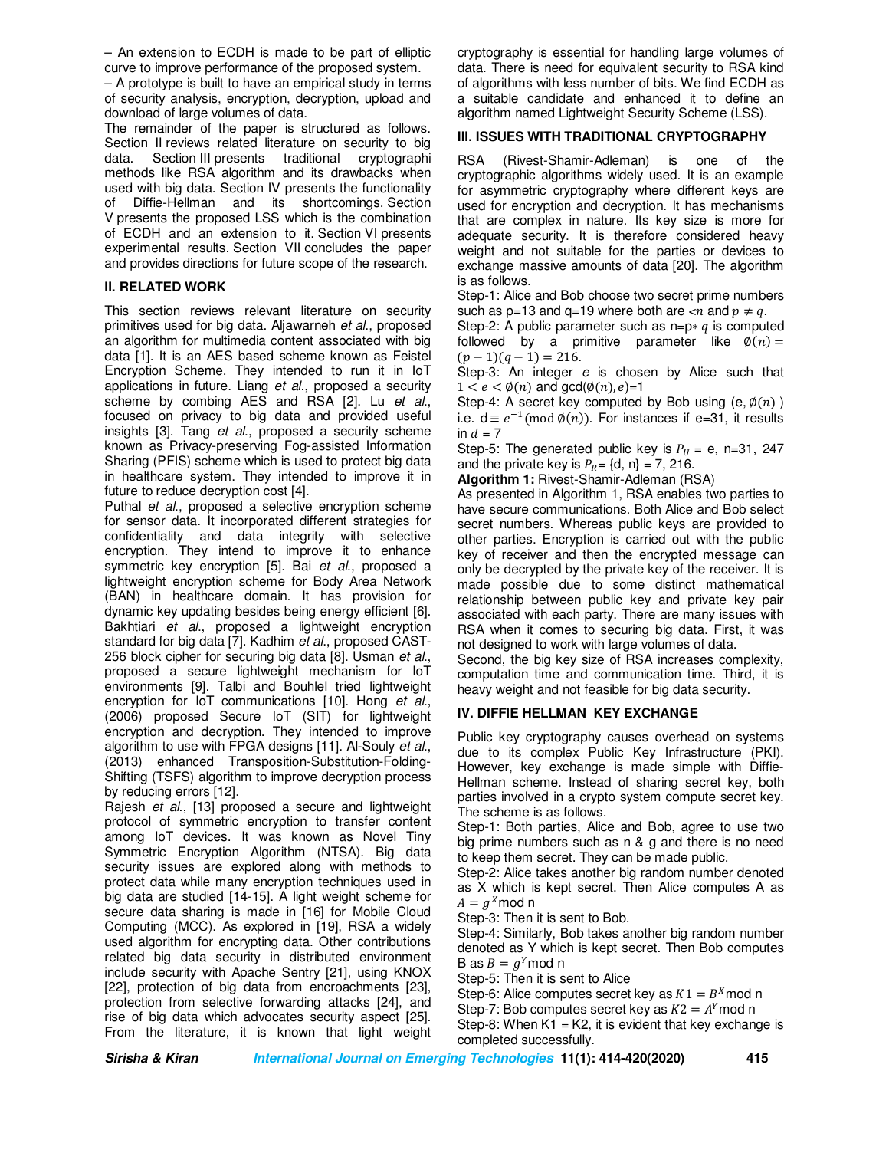– An extension to ECDH is made to be part of elliptic curve to improve performance of the proposed system.

– A prototype is built to have an empirical study in terms of security analysis, encryption, decryption, upload and download of large volumes of data.

The remainder of the paper is structured as follows. Section II reviews related literature on security to big data. Section III presents traditional cryptographi methods like RSA algorithm and its drawbacks when used with big data. Section IV presents the functionality of Diffie-Hellman and its shortcomings. Section V presents the proposed LSS which is the combination of ECDH and an extension to it. Section VI presents experimental results. Section VII concludes the paper and provides directions for future scope of the research.

# **II. RELATED WORK**

This section reviews relevant literature on security primitives used for big data. Aljawarneh *et al*., proposed an algorithm for multimedia content associated with big data [1]. It is an AES based scheme known as Feistel Encryption Scheme. They intended to run it in IoT applications in future. Liang *et al*., proposed a security scheme by combing AES and RSA [2]. Lu *et al*., focused on privacy to big data and provided useful insights [3]. Tang *et al*., proposed a security scheme known as Privacy-preserving Fog-assisted Information Sharing (PFIS) scheme which is used to protect big data in healthcare system. They intended to improve it in future to reduce decryption cost [4].

Puthal *et al*., proposed a selective encryption scheme for sensor data. It incorporated different strategies for confidentiality and data integrity with selective encryption. They intend to improve it to enhance symmetric key encryption [5]. Bai *et al*., proposed a lightweight encryption scheme for Body Area Network (BAN) in healthcare domain. It has provision for dynamic key updating besides being energy efficient [6]. Bakhtiari *et al*., proposed a lightweight encryption standard for big data [7]. Kadhim *et al*., proposed CAST-256 block cipher for securing big data [8]. Usman *et al*., proposed a secure lightweight mechanism for IoT environments [9]. Talbi and Bouhlel tried lightweight encryption for IoT communications [10]. Hong *et al*., (2006) proposed Secure IoT (SIT) for lightweight encryption and decryption. They intended to improve algorithm to use with FPGA designs [11]. Al-Souly *et al*., (2013) enhanced Transposition-Substitution-Folding-Shifting (TSFS) algorithm to improve decryption process by reducing errors [12].

Rajesh *et al*., [13] proposed a secure and lightweight protocol of symmetric encryption to transfer content among IoT devices. It was known as Novel Tiny Symmetric Encryption Algorithm (NTSA). Big data security issues are explored along with methods to protect data while many encryption techniques used in big data are studied [14-15]. A light weight scheme for secure data sharing is made in [16] for Mobile Cloud Computing (MCC). As explored in [19], RSA a widely used algorithm for encrypting data. Other contributions related big data security in distributed environment include security with Apache Sentry [21], using KNOX [22], protection of big data from encroachments [23], protection from selective forwarding attacks [24], and rise of big data which advocates security aspect [25]. From the literature, it is known that light weight

cryptography is essential for handling large volumes of data. There is need for equivalent security to RSA kind of algorithms with less number of bits. We find ECDH as a suitable candidate and enhanced it to define an algorithm named Lightweight Security Scheme (LSS).

# **III. ISSUES WITH TRADITIONAL CRYPTOGRAPHY**

RSA (Rivest-Shamir-Adleman) is one of the cryptographic algorithms widely used. It is an example for asymmetric cryptography where different keys are used for encryption and decryption. It has mechanisms that are complex in nature. Its key size is more for adequate security. It is therefore considered heavy weight and not suitable for the parties or devices to exchange massive amounts of data [20]. The algorithm is as follows.

Step-1: Alice and Bob choose two secret prime numbers such as p=13 and q=19 where both are  $<$ n and  $p\neq q$ .

Step-2: A public parameter such as  $n=p*q$  is computed followed by a primitive parameter like  $\phi(n) =$  $(p-1)(q-1) = 216.$ 

Step-3: An integer *e* is chosen by Alice such that  $1 < e < \emptyset(n)$  and gcd $(\emptyset(n), e) = 1$ 

Step-4: A secret key computed by Bob using  $(e, \phi(n))$ i.e.  $d \equiv e^{-1} \pmod{\phi(n)}$ . For instances if e=31, it results in  $d = 7$ 

Step-5: The generated public key is  $P_{II} = e$ , n=31, 247 and the private key is  $P_R = \{d, n\} = 7, 216$ .

**Algorithm 1:** Rivest-Shamir-Adleman (RSA)

As presented in Algorithm 1, RSA enables two parties to have secure communications. Both Alice and Bob select secret numbers. Whereas public keys are provided to other parties. Encryption is carried out with the public key of receiver and then the encrypted message can only be decrypted by the private key of the receiver. It is made possible due to some distinct mathematical relationship between public key and private key pair associated with each party. There are many issues with RSA when it comes to securing big data. First, it was not designed to work with large volumes of data.

Second, the big key size of RSA increases complexity, computation time and communication time. Third, it is heavy weight and not feasible for big data security.

# **IV. DIFFIE HELLMAN KEY EXCHANGE**

Public key cryptography causes overhead on systems due to its complex Public Key Infrastructure (PKI). However, key exchange is made simple with Diffie-Hellman scheme. Instead of sharing secret key, both parties involved in a crypto system compute secret key. The scheme is as follows.

Step-1: Both parties, Alice and Bob, agree to use two big prime numbers such as n & g and there is no need to keep them secret. They can be made public.

Step-2: Alice takes another big random number denoted as X which is kept secret. Then Alice computes A as  $A = g^X \mod n$ 

Step-3: Then it is sent to Bob.

Step-4: Similarly, Bob takes another big random number denoted as Y which is kept secret. Then Bob computes B as  $B = g<sup>Y</sup>$  mod n

Step-5: Then it is sent to Alice

Step-6: Alice computes secret key as  $K1 = B<sup>X</sup>$  mod n

Step-7: Bob computes secret key as  $K2 = A<sup>Y</sup>$  mod n

Step-8: When  $K1 = K2$ , it is evident that key exchange is completed successfully.

**Sirisha & Kiran International Journal on Emerging Technologies 11(1): 414-420(2020) 415**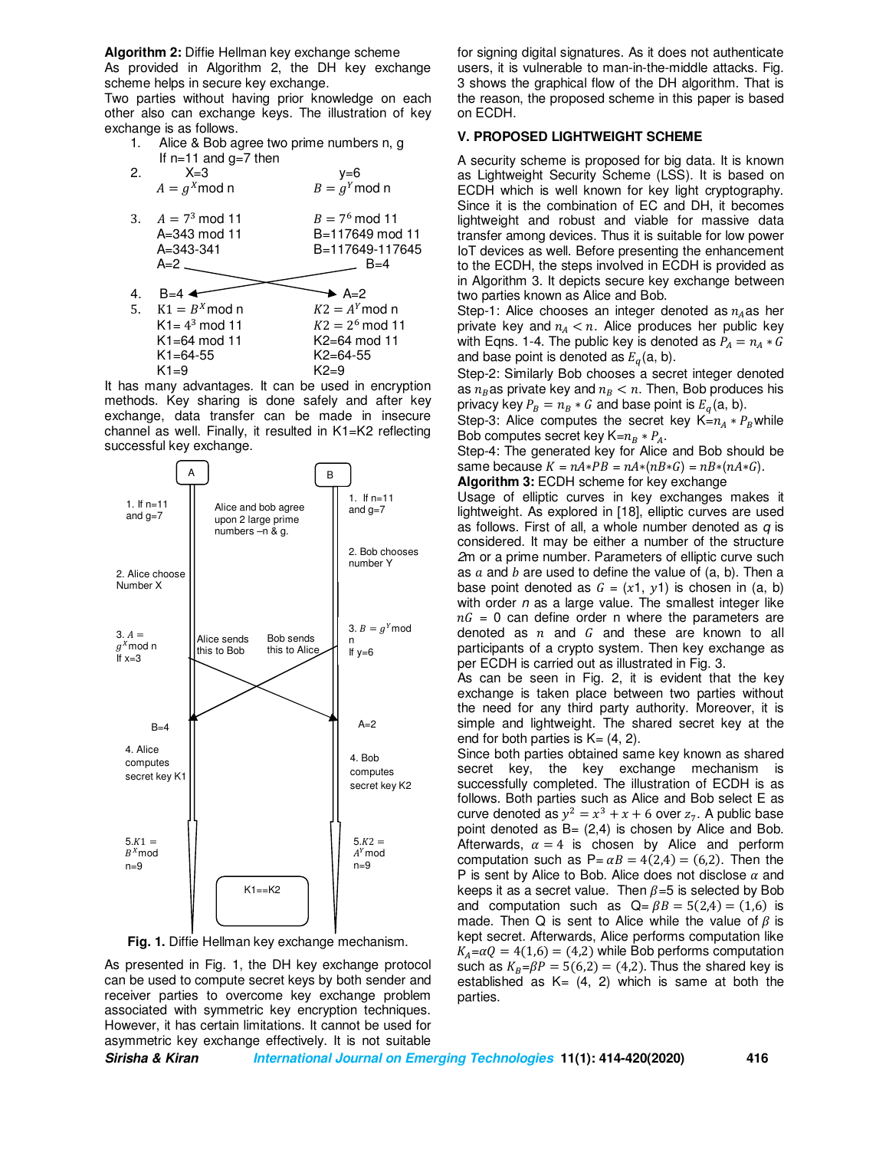**Algorithm 2:** Diffie Hellman key exchange scheme

As provided in Algorithm 2, the DH key exchange scheme helps in secure key exchange.

Two parties without having prior knowledge on each other also can exchange keys. The illustration of key exchange is as follows.

 1. Alice & Bob agree two prime numbers n, g If  $n=11$  and  $g=7$  then

| 2. | $X = 3$<br>$A = g^X \mod n$                                        | y=6<br>$B = gY$ mod n                                            |
|----|--------------------------------------------------------------------|------------------------------------------------------------------|
|    | 3. $A = 7^3 \text{ mod } 11$<br>A=343 mod 11<br>A=343-341<br>$A=2$ | $B = 7^6 \mod 11$<br>B=117649 mod 11<br>B=117649-117645<br>$B=4$ |
|    |                                                                    |                                                                  |
| 4. | $B=4$                                                              | $\blacktriangleright$ A=2                                        |
| 5. | $K1 = BX$ mod n                                                    | $K2 = A^Y \mod n$                                                |
|    | $K1 = 43$ mod 11                                                   | $K2 = 2^6 \mod 11$                                               |
|    | $K1 = 64 \mod 11$                                                  | K2=64 mod 11                                                     |
|    | $K1 = 64 - 55$                                                     | $K2 = 64 - 55$                                                   |
|    | $K1=9$                                                             | $K2=9$                                                           |
|    |                                                                    |                                                                  |

It has many advantages. It can be used in encryption methods. Key sharing is done safely and after key exchange, data transfer can be made in insecure channel as well. Finally, it resulted in K1=K2 reflecting successful key exchange.



**Fig. 1.** Diffie Hellman key exchange mechanism.

As presented in Fig. 1, the DH key exchange protocol can be used to compute secret keys by both sender and receiver parties to overcome key exchange problem associated with symmetric key encryption techniques. However, it has certain limitations. It cannot be used for asymmetric key exchange effectively. It is not suitable

for signing digital signatures. As it does not authenticate users, it is vulnerable to man-in-the-middle attacks. Fig. 3 shows the graphical flow of the DH algorithm. That is the reason, the proposed scheme in this paper is based on ECDH.

# **V. PROPOSED LIGHTWEIGHT SCHEME**

A security scheme is proposed for big data. It is known as Lightweight Security Scheme (LSS). It is based on ECDH which is well known for key light cryptography. Since it is the combination of EC and DH, it becomes lightweight and robust and viable for massive data transfer among devices. Thus it is suitable for low power IoT devices as well. Before presenting the enhancement to the ECDH, the steps involved in ECDH is provided as in Algorithm 3. It depicts secure key exchange between two parties known as Alice and Bob.

Step-1: Alice chooses an integer denoted as  $n_A$ as her private key and  $n_A < n$ . Alice produces her public key with Eqns. 1-4. The public key is denoted as  $P_A = n_A * G$ and base point is denoted as  $E_q(a, b)$ .

Step-2: Similarly Bob chooses a secret integer denoted as  $n_B$ as private key and  $n_B < n$ . Then, Bob produces his privacy key  $P_B = n_B * G$  and base point is  $E_a(a, b)$ .

Step-3: Alice computes the secret key  $K=n_4 * P_R$  while

Bob computes secret key  $K=n_B * P_A$ . Step-4: The generated key for Alice and Bob should be same because  $K = nA*PB = nA*(nB*G) = nB*(nA*G)$ .

**Algorithm 3:** ECDH scheme for key exchange

Usage of elliptic curves in key exchanges makes it lightweight. As explored in [18], elliptic curves are used as follows. First of all, a whole number denoted as *q* is considered. It may be either a number of the structure *2*m or a prime number. Parameters of elliptic curve such as  $a$  and  $b$  are used to define the value of (a, b). Then a base point denoted as  $G = (x1, y1)$  is chosen in (a, b) with order *n* as a large value. The smallest integer like  $nG = 0$  can define order n where the parameters are denoted as  $n$  and  $G$  and these are known to all participants of a crypto system. Then key exchange as per ECDH is carried out as illustrated in Fig. 3.

As can be seen in Fig. 2, it is evident that the key exchange is taken place between two parties without the need for any third party authority. Moreover, it is simple and lightweight. The shared secret key at the end for both parties is  $K=(4, 2)$ .

Since both parties obtained same key known as shared secret key, the key exchange mechanism is successfully completed. The illustration of ECDH is as follows. Both parties such as Alice and Bob select E as curve denoted as  $y^2 = x^3 + x + 6$  over  $z_7$ . A public base point denoted as  $B = (2, 4)$  is chosen by Alice and Bob. Afterwards,  $\alpha = 4$  is chosen by Alice and perform computation such as  $P = \alpha B = 4(2,4) = (6,2)$ . Then the P is sent by Alice to Bob. Alice does not disclose  $\alpha$  and keeps it as a secret value. Then  $\beta = 5$  is selected by Bob and computation such as  $Q = \beta B = 5(2,4) = (1,6)$  is made. Then Q is sent to Alice while the value of  $\beta$  is kept secret. Afterwards, Alice performs computation like  $K_A = \alpha Q = 4(1,6) = (4,2)$  while Bob performs computation such as  $K_B = \beta P = 5(6,2) = (4,2)$ . Thus the shared key is established as  $K = (4, 2)$  which is same at both the parties.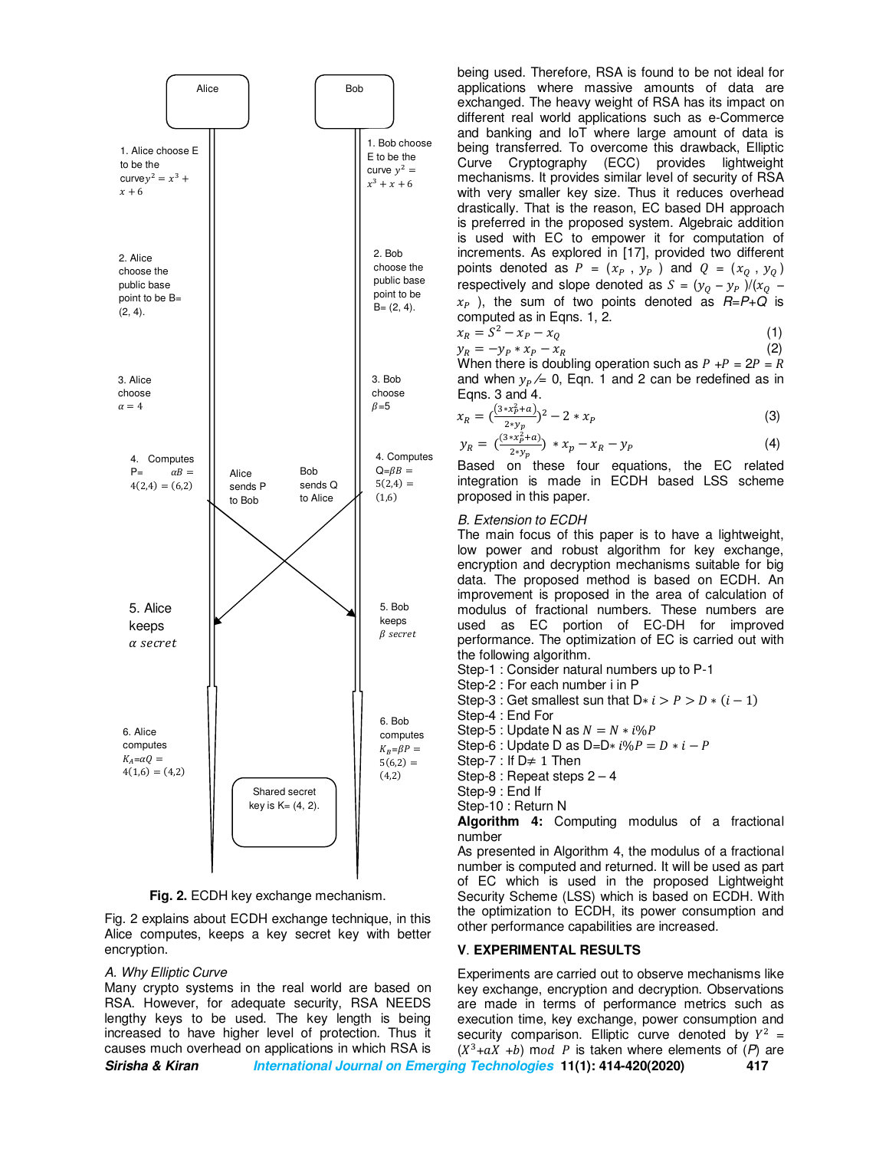

**Fig. 2.** ECDH key exchange mechanism.

Fig. 2 explains about ECDH exchange technique, in this Alice computes, keeps a key secret key with better encryption.

#### *A. Why Elliptic Curve*

Many crypto systems in the real world are based on RSA. However, for adequate security, RSA NEEDS lengthy keys to be used. The key length is being increased to have higher level of protection. Thus it causes much overhead on applications in which RSA is

being used. Therefore, RSA is found to be not ideal for applications where massive amounts of data are exchanged. The heavy weight of RSA has its impact on different real world applications such as e-Commerce and banking and IoT where large amount of data is being transferred. To overcome this drawback, Elliptic Curve Cryptography (ECC) provides lightweight mechanisms. It provides similar level of security of RSA with very smaller key size. Thus it reduces overhead drastically. That is the reason, EC based DH approach is preferred in the proposed system. Algebraic addition is used with EC to empower it for computation of increments. As explored in [17], provided two different points denoted as  $P = (x_P, y_P)$  and  $Q = (x_Q, y_Q)$ respectively and slope denoted as  $S = (y_Q - y_P)/(x_Q$  $x_P$ ), the sum of two points denoted as  $R = P + Q$  is computed as in Eqns. 1, 2.

$$
x_R = S^2 - x_P - x_Q \tag{1}
$$

 $y_R = -y_P * x_P - x_R$  (2) When there is doubling operation such as  $P + P = 2P = R$ and when  $y_p \neq 0$ , Eqn. 1 and 2 can be redefined as in Eqns. 3 and 4.

$$
x_R = \left(\frac{(3*x_P^2 + a)}{2*y_p}\right)^2 - 2*x_p
$$
 (3)

$$
y_R = \left(\frac{(3*x_P^2 + a)}{2*y_p}\right) * x_p - x_R - y_p \tag{4}
$$

Based on these four equations, the EC related integration is made in ECDH based LSS scheme proposed in this paper.

#### *B. Extension to ECDH*

The main focus of this paper is to have a lightweight, low power and robust algorithm for key exchange, encryption and decryption mechanisms suitable for big data. The proposed method is based on ECDH. An improvement is proposed in the area of calculation of modulus of fractional numbers. These numbers are used as EC portion of EC-DH for improved performance. The optimization of EC is carried out with the following algorithm.

Step-1 : Consider natural numbers up to P-1

Step-2 : For each number i in P

Step-3 : Get smallest sun that  $D * i > P > D * (i - 1)$ 

Step-4 : End For

Step-5 : Update N as  $N = N * i\%P$ 

Step-6 : Update D as D=D $* i\% P = D * i - P$ 

Step-7 : If  $D \neq 1$  Then

Step-8 : Repeat steps 2 – 4

Step-9 : End If

Step-10 : Return N

**Algorithm 4:** Computing modulus of a fractional number

As presented in Algorithm 4, the modulus of a fractional number is computed and returned. It will be used as part of EC which is used in the proposed Lightweight Security Scheme (LSS) which is based on ECDH. With the optimization to ECDH, its power consumption and other performance capabilities are increased.

# **V**. **EXPERIMENTAL RESULTS**

**Sirisha & Kiran International Journal on Emerging Technologies 11(1): 414-420(2020) 417** Experiments are carried out to observe mechanisms like key exchange, encryption and decryption. Observations are made in terms of performance metrics such as execution time, key exchange, power consumption and security comparison. Elliptic curve denoted by  $Y^2 =$  $(X^3+aX +b)$  mod *P* is taken where elements of  $(P)$  are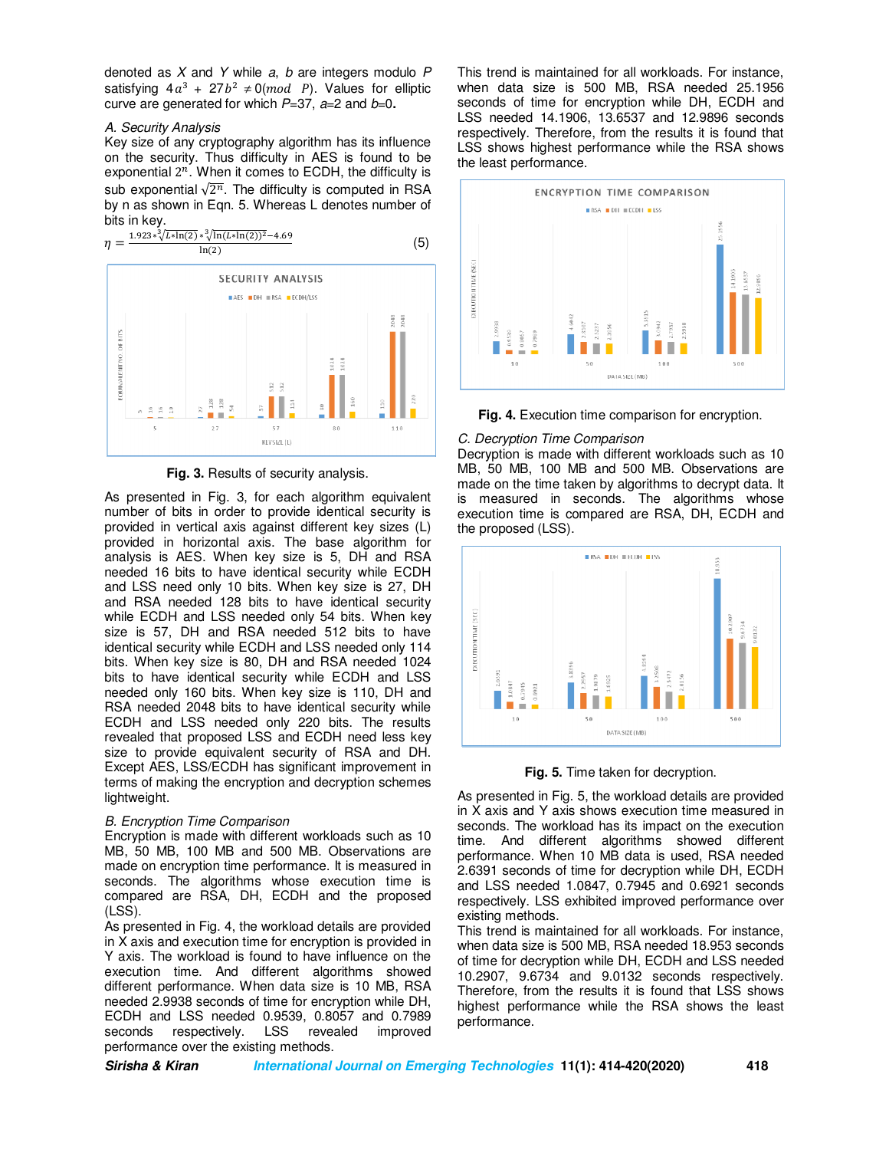denoted as *X* and *Y* while *a*, *b* are integers modulo *P* satisfying  $4a^3 + 27b^2 \neq 0 (mod P)$ . Values for elliptic curve are generated for which *P*=37, *a*=2 and *b*=0**.** 

#### *A. Security Analysis*

Key size of any cryptography algorithm has its influence on the security. Thus difficulty in AES is found to be exponential  $2^n$ . When it comes to ECDH, the difficulty is sub exponential  $\sqrt{2^n}$ . The difficulty is computed in RSA by n as shown in Eqn. 5. Whereas L denotes number of bits in key.



**Fig. 3.** Results of security analysis.

As presented in Fig. 3, for each algorithm equivalent number of bits in order to provide identical security is provided in vertical axis against different key sizes (L) provided in horizontal axis. The base algorithm for analysis is AES. When key size is 5, DH and RSA needed 16 bits to have identical security while ECDH and LSS need only 10 bits. When key size is 27, DH and RSA needed 128 bits to have identical security while ECDH and LSS needed only 54 bits. When key size is 57, DH and RSA needed 512 bits to have identical security while ECDH and LSS needed only 114 bits. When key size is 80, DH and RSA needed 1024 bits to have identical security while ECDH and LSS needed only 160 bits. When key size is 110, DH and RSA needed 2048 bits to have identical security while ECDH and LSS needed only 220 bits. The results revealed that proposed LSS and ECDH need less key size to provide equivalent security of RSA and DH. Except AES, LSS/ECDH has significant improvement in terms of making the encryption and decryption schemes lightweight.

#### *B. Encryption Time Comparison*

Encryption is made with different workloads such as 10 MB, 50 MB, 100 MB and 500 MB. Observations are made on encryption time performance. It is measured in seconds. The algorithms whose execution time is compared are RSA, DH, ECDH and the proposed (LSS).

As presented in Fig. 4, the workload details are provided in X axis and execution time for encryption is provided in Y axis. The workload is found to have influence on the execution time. And different algorithms showed different performance. When data size is 10 MB, RSA needed 2.9938 seconds of time for encryption while DH, ECDH and LSS needed 0.9539, 0.8057 and 0.7989 seconds respectively. LSS revealed improved performance over the existing methods.

This trend is maintained for all workloads. For instance, when data size is 500 MB, RSA needed 25.1956 seconds of time for encryption while DH, ECDH and LSS needed 14.1906, 13.6537 and 12.9896 seconds respectively. Therefore, from the results it is found that LSS shows highest performance while the RSA shows the least performance.





### *C. Decryption Time Comparison*

Decryption is made with different workloads such as 10 MB, 50 MB, 100 MB and 500 MB. Observations are made on the time taken by algorithms to decrypt data. It is measured in seconds. The algorithms whose execution time is compared are RSA, DH, ECDH and the proposed (LSS).



**Fig. 5.** Time taken for decryption.

As presented in Fig. 5, the workload details are provided in X axis and Y axis shows execution time measured in seconds. The workload has its impact on the execution time. And different algorithms showed different performance. When 10 MB data is used, RSA needed 2.6391 seconds of time for decryption while DH, ECDH and LSS needed 1.0847, 0.7945 and 0.6921 seconds respectively. LSS exhibited improved performance over existing methods.

This trend is maintained for all workloads. For instance, when data size is 500 MB, RSA needed 18.953 seconds of time for decryption while DH, ECDH and LSS needed 10.2907, 9.6734 and 9.0132 seconds respectively. Therefore, from the results it is found that LSS shows highest performance while the RSA shows the least performance.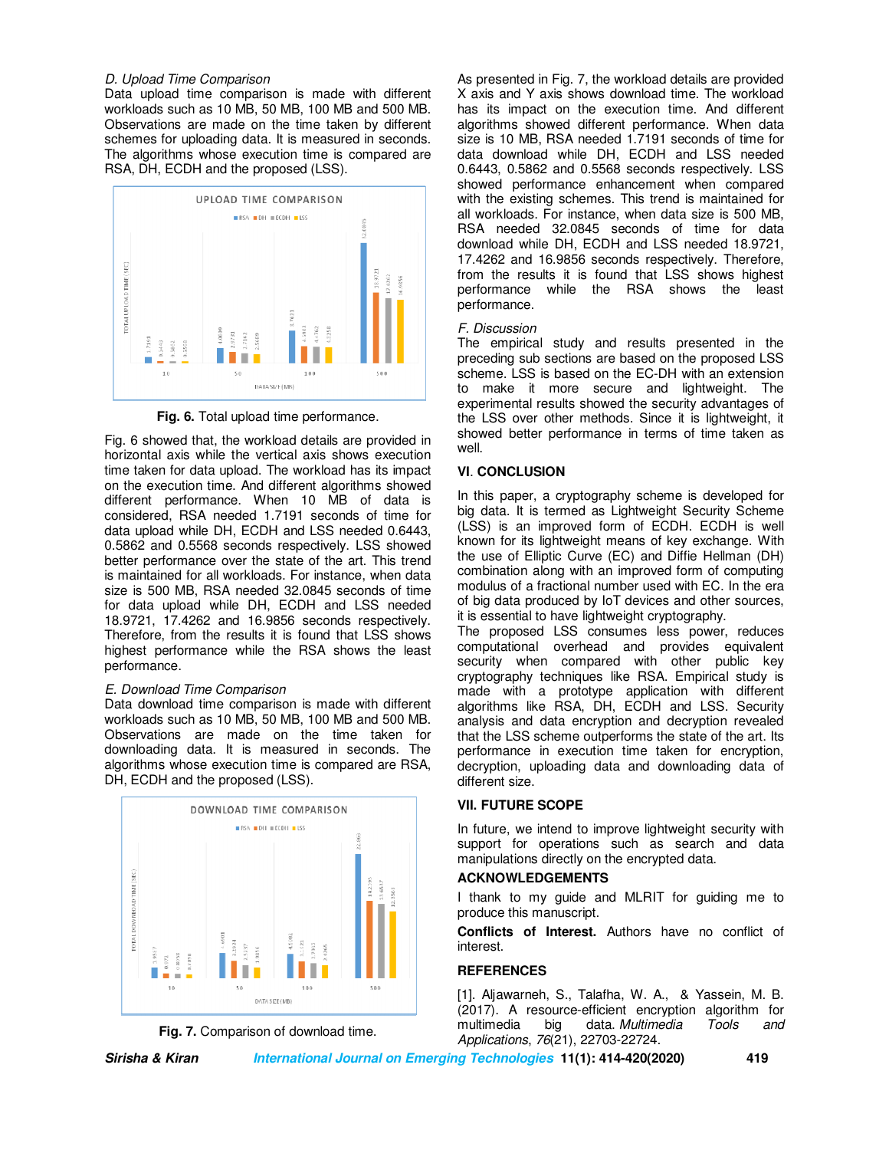# *D. Upload Time Comparison*

Data upload time comparison is made with different workloads such as 10 MB, 50 MB, 100 MB and 500 MB. Observations are made on the time taken by different schemes for uploading data. It is measured in seconds. The algorithms whose execution time is compared are RSA, DH, ECDH and the proposed (LSS).



**Fig. 6.** Total upload time performance.

Fig. 6 showed that, the workload details are provided in horizontal axis while the vertical axis shows execution time taken for data upload. The workload has its impact on the execution time. And different algorithms showed different performance. When 10 MB of data is considered, RSA needed 1.7191 seconds of time for data upload while DH, ECDH and LSS needed 0.6443, 0.5862 and 0.5568 seconds respectively. LSS showed better performance over the state of the art. This trend is maintained for all workloads. For instance, when data size is 500 MB, RSA needed 32.0845 seconds of time for data upload while DH, ECDH and LSS needed 18.9721, 17.4262 and 16.9856 seconds respectively. Therefore, from the results it is found that LSS shows highest performance while the RSA shows the least performance.

# *E. Download Time Comparison*

Data download time comparison is made with different workloads such as 10 MB, 50 MB, 100 MB and 500 MB. Observations are made on the time taken for downloading data. It is measured in seconds. The algorithms whose execution time is compared are RSA, DH, ECDH and the proposed (LSS).





As presented in Fig. 7, the workload details are provided X axis and Y axis shows download time. The workload has its impact on the execution time. And different algorithms showed different performance. When data size is 10 MB, RSA needed 1.7191 seconds of time for data download while DH, ECDH and LSS needed 0.6443, 0.5862 and 0.5568 seconds respectively. LSS showed performance enhancement when compared with the existing schemes. This trend is maintained for all workloads. For instance, when data size is 500 MB, RSA needed 32.0845 seconds of time for data download while DH, ECDH and LSS needed 18.9721, 17.4262 and 16.9856 seconds respectively. Therefore, from the results it is found that LSS shows highest performance while the RSA shows the least performance.

### *F. Discussion*

The empirical study and results presented in the preceding sub sections are based on the proposed LSS scheme. LSS is based on the EC-DH with an extension to make it more secure and lightweight. The experimental results showed the security advantages of the LSS over other methods. Since it is lightweight, it showed better performance in terms of time taken as well.

# **VI**. **CONCLUSION**

In this paper, a cryptography scheme is developed for big data. It is termed as Lightweight Security Scheme (LSS) is an improved form of ECDH. ECDH is well known for its lightweight means of key exchange. With the use of Elliptic Curve (EC) and Diffie Hellman (DH) combination along with an improved form of computing modulus of a fractional number used with EC. In the era of big data produced by IoT devices and other sources, it is essential to have lightweight cryptography.

The proposed LSS consumes less power, reduces computational overhead and provides equivalent security when compared with other public key cryptography techniques like RSA. Empirical study is made with a prototype application with different algorithms like RSA, DH, ECDH and LSS. Security analysis and data encryption and decryption revealed that the LSS scheme outperforms the state of the art. Its performance in execution time taken for encryption, decryption, uploading data and downloading data of different size.

### **VII. FUTURE SCOPE**

In future, we intend to improve lightweight security with support for operations such as search and data manipulations directly on the encrypted data.

# **ACKNOWLEDGEMENTS**

I thank to my guide and MLRIT for guiding me to produce this manuscript.

**Conflicts of Interest.** Authors have no conflict of interest.

# **REFERENCES**

[1]. Aljawarneh, S., Talafha, W. A., & Yassein, M. B. (2017). A resource-efficient encryption algorithm for<br>multimedia big data. Multimedia Tools and data. *Multimedia Applications*, *76*(21), 22703-22724.